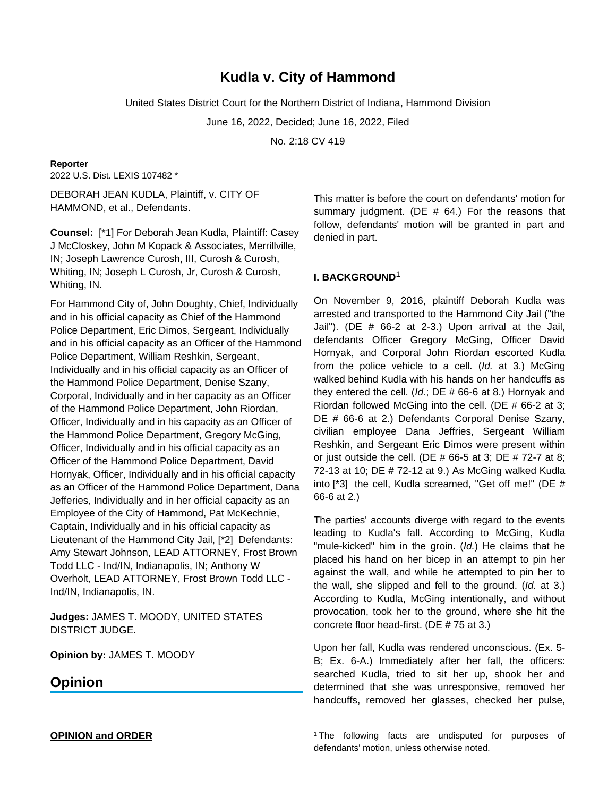# **Kudla v. City of Hammond**

United States District Court for the Northern District of Indiana, Hammond Division

June 16, 2022, Decided; June 16, 2022, Filed

No. 2:18 CV 419

## **Reporter**

2022 U.S. Dist. LEXIS 107482 \*

DEBORAH JEAN KUDLA, Plaintiff, v. CITY OF HAMMOND, et al., Defendants.

**Counsel:** [\*1] For Deborah Jean Kudla, Plaintiff: Casey J McCloskey, John M Kopack & Associates, Merrillville, IN; Joseph Lawrence Curosh, III, Curosh & Curosh, Whiting, IN; Joseph L Curosh, Jr, Curosh & Curosh, Whiting, IN.

For Hammond City of, John Doughty, Chief, Individually and in his official capacity as Chief of the Hammond Police Department, Eric Dimos, Sergeant, Individually and in his official capacity as an Officer of the Hammond Police Department, William Reshkin, Sergeant, Individually and in his official capacity as an Officer of the Hammond Police Department, Denise Szany, Corporal, Individually and in her capacity as an Officer of the Hammond Police Department, John Riordan, Officer, Individually and in his capacity as an Officer of the Hammond Police Department, Gregory McGing, Officer, Individually and in his official capacity as an Officer of the Hammond Police Department, David Hornyak, Officer, Individually and in his official capacity as an Officer of the Hammond Police Department, Dana Jefferies, Individually and in her official capacity as an Employee of the City of Hammond, Pat McKechnie, Captain, Individually and in his official capacity as Lieutenant of the Hammond City Jail, [\*2] Defendants: Amy Stewart Johnson, LEAD ATTORNEY, Frost Brown Todd LLC - Ind/IN, Indianapolis, IN; Anthony W Overholt, LEAD ATTORNEY, Frost Brown Todd LLC - Ind/IN, Indianapolis, IN.

**Judges:** JAMES T. MOODY, UNITED STATES DISTRICT JUDGE.

**Opinion by:** JAMES T. MOODY

## **Opinion**

This matter is before the court on defendants' motion for summary judgment. (DE  $#$  64.) For the reasons that follow, defendants' motion will be granted in part and denied in part.

## **I. BACKGROUND**<sup>1</sup>

On November 9, 2016, plaintiff Deborah Kudla was arrested and transported to the Hammond City Jail ("the Jail"). (DE # 66-2 at 2-3.) Upon arrival at the Jail, defendants Officer Gregory McGing, Officer David Hornyak, and Corporal John Riordan escorted Kudla from the police vehicle to a cell. (Id. at 3.) McGing walked behind Kudla with his hands on her handcuffs as they entered the cell. (Id.; DE  $# 66-6$  at 8.) Hornyak and Riordan followed McGing into the cell. (DE # 66-2 at 3; DE # 66-6 at 2.) Defendants Corporal Denise Szany, civilian employee Dana Jeffries, Sergeant William Reshkin, and Sergeant Eric Dimos were present within or just outside the cell. (DE  $# 66-5$  at 3; DE  $# 72-7$  at 8; 72-13 at 10; DE # 72-12 at 9.) As McGing walked Kudla into [\*3] the cell, Kudla screamed, "Get off me!" (DE # 66-6 at 2.)

The parties' accounts diverge with regard to the events leading to Kudla's fall. According to McGing, Kudla "mule-kicked" him in the groin. (Id.) He claims that he placed his hand on her bicep in an attempt to pin her against the wall, and while he attempted to pin her to the wall, she slipped and fell to the ground. (Id. at 3.) According to Kudla, McGing intentionally, and without provocation, took her to the ground, where she hit the concrete floor head-first. (DE # 75 at 3.)

Upon her fall, Kudla was rendered unconscious. (Ex. 5- B; Ex. 6-A.) Immediately after her fall, the officers: searched Kudla, tried to sit her up, shook her and determined that she was unresponsive, removed her handcuffs, removed her glasses, checked her pulse,

**OPINION and ORDER**

<sup>&</sup>lt;sup>1</sup>The following facts are undisputed for purposes of defendants' motion, unless otherwise noted.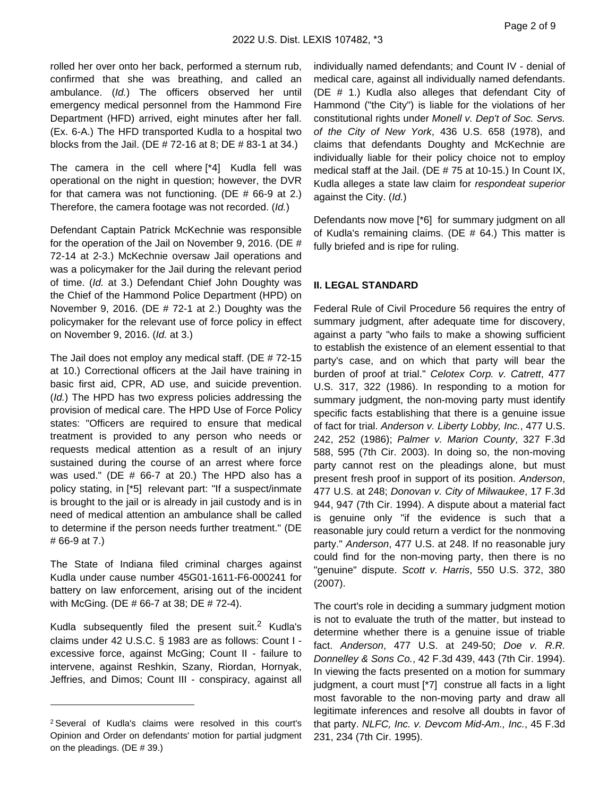rolled her over onto her back, performed a sternum rub, confirmed that she was breathing, and called an ambulance. (Id.) The officers observed her until emergency medical personnel from the Hammond Fire Department (HFD) arrived, eight minutes after her fall. (Ex. 6-A.) The HFD transported Kudla to a hospital two blocks from the Jail. (DE # 72-16 at 8; DE # 83-1 at 34.)

The camera in the cell where [\*4] Kudla fell was operational on the night in question; however, the DVR for that camera was not functioning. (DE # 66-9 at 2.) Therefore, the camera footage was not recorded. (Id.)

Defendant Captain Patrick McKechnie was responsible for the operation of the Jail on November 9, 2016. (DE # 72-14 at 2-3.) McKechnie oversaw Jail operations and was a policymaker for the Jail during the relevant period of time. (Id. at 3.) Defendant Chief John Doughty was the Chief of the Hammond Police Department (HPD) on November 9, 2016. (DE # 72-1 at 2.) Doughty was the policymaker for the relevant use of force policy in effect on November 9, 2016. (Id. at 3.)

The Jail does not employ any medical staff. (DE # 72-15 at 10.) Correctional officers at the Jail have training in basic first aid, CPR, AD use, and suicide prevention. (Id.) The HPD has two express policies addressing the provision of medical care. The HPD Use of Force Policy states: "Officers are required to ensure that medical treatment is provided to any person who needs or requests medical attention as a result of an injury sustained during the course of an arrest where force was used." (DE # 66-7 at 20.) The HPD also has a policy stating, in [\*5] relevant part: "If a suspect/inmate is brought to the jail or is already in jail custody and is in need of medical attention an ambulance shall be called to determine if the person needs further treatment." (DE # 66-9 at 7.)

The State of Indiana filed criminal charges against Kudla under cause number 45G01-1611-F6-000241 for battery on law enforcement, arising out of the incident with McGing. (DE # 66-7 at 38; DE # 72-4).

Kudla subsequently filed the present suit.<sup>2</sup> Kudla's claims under 42 U.S.C. § 1983 are as follows: Count I excessive force, against McGing; Count II - failure to intervene, against Reshkin, Szany, Riordan, Hornyak, Jeffries, and Dimos; Count III - conspiracy, against all

individually named defendants; and Count IV - denial of medical care, against all individually named defendants. (DE # 1.) Kudla also alleges that defendant City of Hammond ("the City") is liable for the violations of her constitutional rights under Monell v. Dep't of Soc. Servs. of the City of New York, 436 U.S. 658 (1978), and claims that defendants Doughty and McKechnie are individually liable for their policy choice not to employ medical staff at the Jail. (DE # 75 at 10-15.) In Count IX, Kudla alleges a state law claim for respondeat superior against the City. (Id.)

Defendants now move [\*6] for summary judgment on all of Kudla's remaining claims. (DE # 64.) This matter is fully briefed and is ripe for ruling.

## **II. LEGAL STANDARD**

Federal Rule of Civil Procedure 56 requires the entry of summary judgment, after adequate time for discovery, against a party "who fails to make a showing sufficient to establish the existence of an element essential to that party's case, and on which that party will bear the burden of proof at trial." Celotex Corp. v. Catrett, 477 U.S. 317, 322 (1986). In responding to a motion for summary judgment, the non-moving party must identify specific facts establishing that there is a genuine issue of fact for trial. Anderson v. Liberty Lobby, Inc., 477 U.S. 242, 252 (1986); Palmer v. Marion County, 327 F.3d 588, 595 (7th Cir. 2003). In doing so, the non-moving party cannot rest on the pleadings alone, but must present fresh proof in support of its position. Anderson, 477 U.S. at 248; Donovan v. City of Milwaukee, 17 F.3d 944, 947 (7th Cir. 1994). A dispute about a material fact is genuine only "if the evidence is such that a reasonable jury could return a verdict for the nonmoving party." Anderson, 477 U.S. at 248. If no reasonable jury could find for the non-moving party, then there is no "genuine" dispute. Scott v. Harris, 550 U.S. 372, 380 (2007).

The court's role in deciding a summary judgment motion is not to evaluate the truth of the matter, but instead to determine whether there is a genuine issue of triable fact. Anderson, 477 U.S. at 249-50; Doe v. R.R. Donnelley & Sons Co., 42 F.3d 439, 443 (7th Cir. 1994). In viewing the facts presented on a motion for summary judgment, a court must [\*7] construe all facts in a light most favorable to the non-moving party and draw all legitimate inferences and resolve all doubts in favor of that party. NLFC, Inc. v. Devcom Mid-Am., Inc., 45 F.3d 231, 234 (7th Cir. 1995).

<sup>2</sup>Several of Kudla's claims were resolved in this court's Opinion and Order on defendants' motion for partial judgment on the pleadings. (DE # 39.)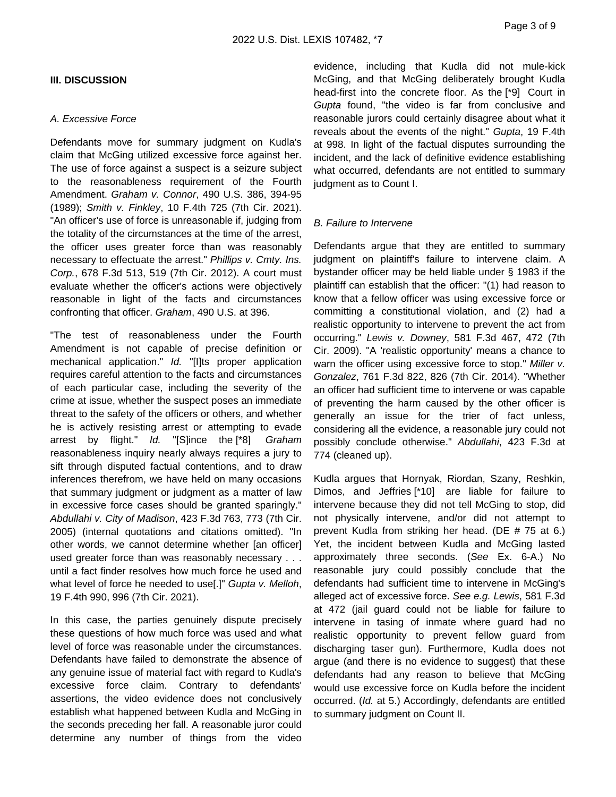## **III. DISCUSSION**

#### A. Excessive Force

Defendants move for summary judgment on Kudla's claim that McGing utilized excessive force against her. The use of force against a suspect is a seizure subject to the reasonableness requirement of the Fourth Amendment. Graham v. Connor, 490 U.S. 386, 394-95 (1989); Smith v. Finkley, 10 F.4th 725 (7th Cir. 2021). "An officer's use of force is unreasonable if, judging from the totality of the circumstances at the time of the arrest, the officer uses greater force than was reasonably necessary to effectuate the arrest." Phillips v. Cmty. Ins. Corp., 678 F.3d 513, 519 (7th Cir. 2012). A court must evaluate whether the officer's actions were objectively reasonable in light of the facts and circumstances confronting that officer. Graham, 490 U.S. at 396.

"The test of reasonableness under the Fourth Amendment is not capable of precise definition or mechanical application." Id. "[I]ts proper application requires careful attention to the facts and circumstances of each particular case, including the severity of the crime at issue, whether the suspect poses an immediate threat to the safety of the officers or others, and whether he is actively resisting arrest or attempting to evade arrest by flight." Id. "[S]ince the [\*8] Graham reasonableness inquiry nearly always requires a jury to sift through disputed factual contentions, and to draw inferences therefrom, we have held on many occasions that summary judgment or judgment as a matter of law in excessive force cases should be granted sparingly." Abdullahi v. City of Madison, 423 F.3d 763, 773 (7th Cir. 2005) (internal quotations and citations omitted). "In other words, we cannot determine whether [an officer] used greater force than was reasonably necessary . . . until a fact finder resolves how much force he used and what level of force he needed to use[.]" Gupta v. Melloh, 19 F.4th 990, 996 (7th Cir. 2021).

In this case, the parties genuinely dispute precisely these questions of how much force was used and what level of force was reasonable under the circumstances. Defendants have failed to demonstrate the absence of any genuine issue of material fact with regard to Kudla's excessive force claim. Contrary to defendants' assertions, the video evidence does not conclusively establish what happened between Kudla and McGing in the seconds preceding her fall. A reasonable juror could determine any number of things from the video

evidence, including that Kudla did not mule-kick McGing, and that McGing deliberately brought Kudla head-first into the concrete floor. As the [\*9] Court in Gupta found, "the video is far from conclusive and reasonable jurors could certainly disagree about what it reveals about the events of the night." Gupta, 19 F.4th at 998. In light of the factual disputes surrounding the incident, and the lack of definitive evidence establishing what occurred, defendants are not entitled to summary judgment as to Count I.

### B. Failure to Intervene

Defendants argue that they are entitled to summary judgment on plaintiff's failure to intervene claim. A bystander officer may be held liable under § 1983 if the plaintiff can establish that the officer: "(1) had reason to know that a fellow officer was using excessive force or committing a constitutional violation, and (2) had a realistic opportunity to intervene to prevent the act from occurring." Lewis v. Downey, 581 F.3d 467, 472 (7th Cir. 2009). "A 'realistic opportunity' means a chance to warn the officer using excessive force to stop." Miller v. Gonzalez, 761 F.3d 822, 826 (7th Cir. 2014). "Whether an officer had sufficient time to intervene or was capable of preventing the harm caused by the other officer is generally an issue for the trier of fact unless, considering all the evidence, a reasonable jury could not possibly conclude otherwise." Abdullahi, 423 F.3d at 774 (cleaned up).

Kudla argues that Hornyak, Riordan, Szany, Reshkin, Dimos, and Jeffries [\*10] are liable for failure to intervene because they did not tell McGing to stop, did not physically intervene, and/or did not attempt to prevent Kudla from striking her head. (DE # 75 at 6.) Yet, the incident between Kudla and McGing lasted approximately three seconds. (See Ex. 6-A.) No reasonable jury could possibly conclude that the defendants had sufficient time to intervene in McGing's alleged act of excessive force. See e.g. Lewis, 581 F.3d at 472 (jail guard could not be liable for failure to intervene in tasing of inmate where guard had no realistic opportunity to prevent fellow guard from discharging taser gun). Furthermore, Kudla does not argue (and there is no evidence to suggest) that these defendants had any reason to believe that McGing would use excessive force on Kudla before the incident occurred. (Id. at 5.) Accordingly, defendants are entitled to summary judgment on Count II.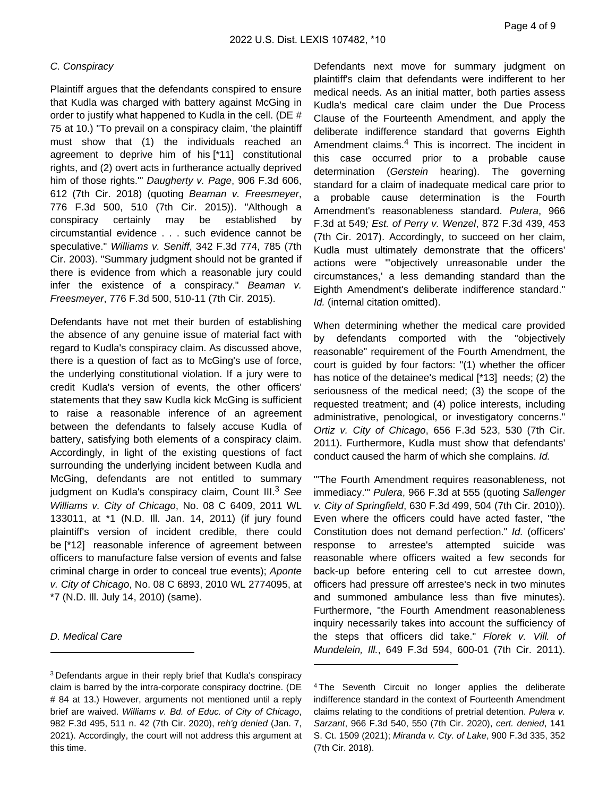### C. Conspiracy

Plaintiff argues that the defendants conspired to ensure that Kudla was charged with battery against McGing in order to justify what happened to Kudla in the cell. (DE # 75 at 10.) "To prevail on a conspiracy claim, 'the plaintiff must show that (1) the individuals reached an agreement to deprive him of his [\*11] constitutional rights, and (2) overt acts in furtherance actually deprived him of those rights." Daugherty v. Page, 906 F.3d 606, 612 (7th Cir. 2018) (quoting Beaman v. Freesmeyer, 776 F.3d 500, 510 (7th Cir. 2015)). "Although a conspiracy certainly may be established by circumstantial evidence . . . such evidence cannot be speculative." Williams v. Seniff, 342 F.3d 774, 785 (7th Cir. 2003). "Summary judgment should not be granted if there is evidence from which a reasonable jury could infer the existence of a conspiracy." Beaman v. Freesmeyer, 776 F.3d 500, 510-11 (7th Cir. 2015).

Defendants have not met their burden of establishing the absence of any genuine issue of material fact with regard to Kudla's conspiracy claim. As discussed above, there is a question of fact as to McGing's use of force, the underlying constitutional violation. If a jury were to credit Kudla's version of events, the other officers' statements that they saw Kudla kick McGing is sufficient to raise a reasonable inference of an agreement between the defendants to falsely accuse Kudla of battery, satisfying both elements of a conspiracy claim. Accordingly, in light of the existing questions of fact surrounding the underlying incident between Kudla and McGing, defendants are not entitled to summary judgment on Kudla's conspiracy claim, Count III.<sup>3</sup> See Williams v. City of Chicago, No. 08 C 6409, 2011 WL 133011, at \*1 (N.D. Ill. Jan. 14, 2011) (if jury found plaintiff's version of incident credible, there could be [\*12] reasonable inference of agreement between officers to manufacture false version of events and false criminal charge in order to conceal true events); Aponte v. City of Chicago, No. 08 C 6893, 2010 WL 2774095, at \*7 (N.D. Ill. July 14, 2010) (same).

## D. Medical Care

Defendants next move for summary judgment on plaintiff's claim that defendants were indifferent to her medical needs. As an initial matter, both parties assess Kudla's medical care claim under the Due Process Clause of the Fourteenth Amendment, and apply the deliberate indifference standard that governs Eighth Amendment claims.<sup>4</sup> This is incorrect. The incident in this case occurred prior to a probable cause determination (Gerstein hearing). The governing standard for a claim of inadequate medical care prior to a probable cause determination is the Fourth Amendment's reasonableness standard. Pulera, 966 F.3d at 549; Est. of Perry v. Wenzel, 872 F.3d 439, 453 (7th Cir. 2017). Accordingly, to succeed on her claim, Kudla must ultimately demonstrate that the officers' actions were "'objectively unreasonable under the circumstances,' a less demanding standard than the Eighth Amendment's deliberate indifference standard." Id. (internal citation omitted).

When determining whether the medical care provided by defendants comported with the "objectively reasonable" requirement of the Fourth Amendment, the court is guided by four factors: "(1) whether the officer has notice of the detainee's medical [\*13] needs; (2) the seriousness of the medical need; (3) the scope of the requested treatment; and (4) police interests, including administrative, penological, or investigatory concerns." Ortiz v. City of Chicago, 656 F.3d 523, 530 (7th Cir. 2011). Furthermore, Kudla must show that defendants' conduct caused the harm of which she complains. Id.

"'The Fourth Amendment requires reasonableness, not immediacy.'" Pulera, 966 F.3d at 555 (quoting Sallenger v. City of Springfield, 630 F.3d 499, 504 (7th Cir. 2010)). Even where the officers could have acted faster, "the Constitution does not demand perfection." Id. (officers' response to arrestee's attempted suicide was reasonable where officers waited a few seconds for back-up before entering cell to cut arrestee down, officers had pressure off arrestee's neck in two minutes and summoned ambulance less than five minutes). Furthermore, "the Fourth Amendment reasonableness inquiry necessarily takes into account the sufficiency of the steps that officers did take." Florek v. Vill. of Mundelein, Ill., 649 F.3d 594, 600-01 (7th Cir. 2011).

<sup>3</sup>Defendants argue in their reply brief that Kudla's conspiracy claim is barred by the intra-corporate conspiracy doctrine. (DE # 84 at 13.) However, arguments not mentioned until a reply brief are waived. Williams v. Bd. of Educ. of City of Chicago, 982 F.3d 495, 511 n. 42 (7th Cir. 2020), reh'g denied (Jan. 7, 2021). Accordingly, the court will not address this argument at this time.

<sup>4</sup>The Seventh Circuit no longer applies the deliberate indifference standard in the context of Fourteenth Amendment claims relating to the conditions of pretrial detention. Pulera v. Sarzant, 966 F.3d 540, 550 (7th Cir. 2020), cert. denied, 141 S. Ct. 1509 (2021); Miranda v. Cty. of Lake, 900 F.3d 335, 352 (7th Cir. 2018).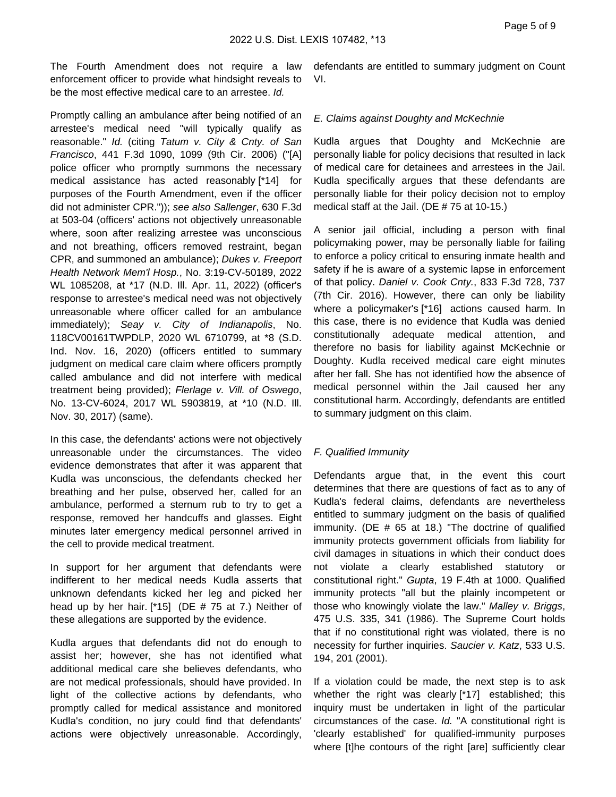The Fourth Amendment does not require a law enforcement officer to provide what hindsight reveals to be the most effective medical care to an arrestee. Id.

Promptly calling an ambulance after being notified of an arrestee's medical need "will typically qualify as reasonable." Id. (citing Tatum v. City & Cnty. of San Francisco, 441 F.3d 1090, 1099 (9th Cir. 2006) ("[A] police officer who promptly summons the necessary medical assistance has acted reasonably [\*14] for purposes of the Fourth Amendment, even if the officer did not administer CPR.")); see also Sallenger, 630 F.3d at 503-04 (officers' actions not objectively unreasonable where, soon after realizing arrestee was unconscious and not breathing, officers removed restraint, began CPR, and summoned an ambulance); Dukes v. Freeport Health Network Mem'l Hosp., No. 3:19-CV-50189, 2022 WL 1085208, at \*17 (N.D. Ill. Apr. 11, 2022) (officer's response to arrestee's medical need was not objectively unreasonable where officer called for an ambulance immediately); Seay v. City of Indianapolis, No. 118CV00161TWPDLP, 2020 WL 6710799, at \*8 (S.D. Ind. Nov. 16, 2020) (officers entitled to summary judgment on medical care claim where officers promptly called ambulance and did not interfere with medical treatment being provided); Flerlage v. Vill. of Oswego, No. 13-CV-6024, 2017 WL 5903819, at \*10 (N.D. Ill. Nov. 30, 2017) (same).

In this case, the defendants' actions were not objectively unreasonable under the circumstances. The video evidence demonstrates that after it was apparent that Kudla was unconscious, the defendants checked her breathing and her pulse, observed her, called for an ambulance, performed a sternum rub to try to get a response, removed her handcuffs and glasses. Eight minutes later emergency medical personnel arrived in the cell to provide medical treatment.

In support for her argument that defendants were indifferent to her medical needs Kudla asserts that unknown defendants kicked her leg and picked her head up by her hair.  $[*15]$  (DE # 75 at 7.) Neither of these allegations are supported by the evidence.

Kudla argues that defendants did not do enough to assist her; however, she has not identified what additional medical care she believes defendants, who are not medical professionals, should have provided. In light of the collective actions by defendants, who promptly called for medical assistance and monitored Kudla's condition, no jury could find that defendants' actions were objectively unreasonable. Accordingly,

defendants are entitled to summary judgment on Count VI.

## E. Claims against Doughty and McKechnie

Kudla argues that Doughty and McKechnie are personally liable for policy decisions that resulted in lack of medical care for detainees and arrestees in the Jail. Kudla specifically argues that these defendants are personally liable for their policy decision not to employ medical staff at the Jail. (DE # 75 at 10-15.)

A senior jail official, including a person with final policymaking power, may be personally liable for failing to enforce a policy critical to ensuring inmate health and safety if he is aware of a systemic lapse in enforcement of that policy. Daniel v. Cook Cnty., 833 F.3d 728, 737 (7th Cir. 2016). However, there can only be liability where a policymaker's [\*16] actions caused harm. In this case, there is no evidence that Kudla was denied constitutionally adequate medical attention, and therefore no basis for liability against McKechnie or Doughty. Kudla received medical care eight minutes after her fall. She has not identified how the absence of medical personnel within the Jail caused her any constitutional harm. Accordingly, defendants are entitled to summary judgment on this claim.

## F. Qualified Immunity

Defendants argue that, in the event this court determines that there are questions of fact as to any of Kudla's federal claims, defendants are nevertheless entitled to summary judgment on the basis of qualified immunity. (DE # 65 at 18.) "The doctrine of qualified immunity protects government officials from liability for civil damages in situations in which their conduct does not violate a clearly established statutory or constitutional right." Gupta, 19 F.4th at 1000. Qualified immunity protects "all but the plainly incompetent or those who knowingly violate the law." Malley v. Briggs, 475 U.S. 335, 341 (1986). The Supreme Court holds that if no constitutional right was violated, there is no necessity for further inquiries. Saucier v. Katz, 533 U.S. 194, 201 (2001).

If a violation could be made, the next step is to ask whether the right was clearly [\*17] established; this inquiry must be undertaken in light of the particular circumstances of the case. Id. "A constitutional right is 'clearly established' for qualified-immunity purposes where [t]he contours of the right [are] sufficiently clear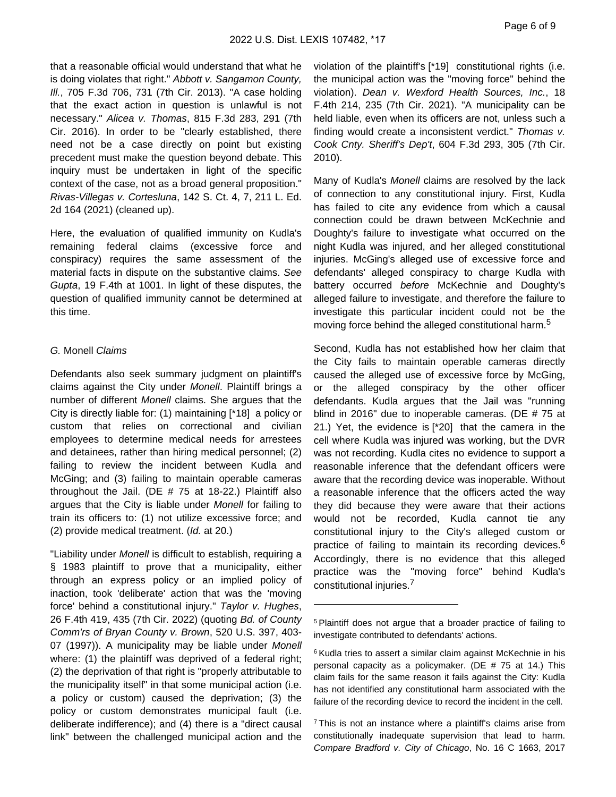that a reasonable official would understand that what he is doing violates that right." Abbott v. Sangamon County, Ill., 705 F.3d 706, 731 (7th Cir. 2013). "A case holding that the exact action in question is unlawful is not necessary." Alicea v. Thomas, 815 F.3d 283, 291 (7th Cir. 2016). In order to be "clearly established, there need not be a case directly on point but existing precedent must make the question beyond debate. This inquiry must be undertaken in light of the specific context of the case, not as a broad general proposition." Rivas-Villegas v. Cortesluna, 142 S. Ct. 4, 7, 211 L. Ed. 2d 164 (2021) (cleaned up).

Here, the evaluation of qualified immunity on Kudla's remaining federal claims (excessive force and conspiracy) requires the same assessment of the material facts in dispute on the substantive claims. See Gupta, 19 F.4th at 1001. In light of these disputes, the question of qualified immunity cannot be determined at this time.

#### G. Monell Claims

Defendants also seek summary judgment on plaintiff's claims against the City under Monell. Plaintiff brings a number of different Monell claims. She argues that the City is directly liable for: (1) maintaining [\*18] a policy or custom that relies on correctional and civilian employees to determine medical needs for arrestees and detainees, rather than hiring medical personnel; (2) failing to review the incident between Kudla and McGing; and (3) failing to maintain operable cameras throughout the Jail. (DE # 75 at 18-22.) Plaintiff also argues that the City is liable under Monell for failing to train its officers to: (1) not utilize excessive force; and (2) provide medical treatment. (Id. at 20.)

"Liability under Monell is difficult to establish, requiring a § 1983 plaintiff to prove that a municipality, either through an express policy or an implied policy of inaction, took 'deliberate' action that was the 'moving force' behind a constitutional injury." Taylor v. Hughes, 26 F.4th 419, 435 (7th Cir. 2022) (quoting Bd. of County Comm'rs of Bryan County v. Brown, 520 U.S. 397, 403- 07 (1997)). A municipality may be liable under Monell where: (1) the plaintiff was deprived of a federal right; (2) the deprivation of that right is "properly attributable to the municipality itself" in that some municipal action (i.e. a policy or custom) caused the deprivation; (3) the policy or custom demonstrates municipal fault (i.e. deliberate indifference); and (4) there is a "direct causal link" between the challenged municipal action and the

violation of the plaintiff's [\*19] constitutional rights (i.e. the municipal action was the "moving force" behind the violation). Dean v. Wexford Health Sources, Inc., 18 F.4th 214, 235 (7th Cir. 2021). "A municipality can be held liable, even when its officers are not, unless such a finding would create a inconsistent verdict." Thomas v. Cook Cnty. Sheriff's Dep't, 604 F.3d 293, 305 (7th Cir. 2010).

Many of Kudla's Monell claims are resolved by the lack of connection to any constitutional injury. First, Kudla has failed to cite any evidence from which a causal connection could be drawn between McKechnie and Doughty's failure to investigate what occurred on the night Kudla was injured, and her alleged constitutional injuries. McGing's alleged use of excessive force and defendants' alleged conspiracy to charge Kudla with battery occurred before McKechnie and Doughty's alleged failure to investigate, and therefore the failure to investigate this particular incident could not be the moving force behind the alleged constitutional harm.<sup>5</sup>

Second, Kudla has not established how her claim that the City fails to maintain operable cameras directly caused the alleged use of excessive force by McGing, or the alleged conspiracy by the other officer defendants. Kudla argues that the Jail was "running blind in 2016" due to inoperable cameras. (DE # 75 at 21.) Yet, the evidence is [\*20] that the camera in the cell where Kudla was injured was working, but the DVR was not recording. Kudla cites no evidence to support a reasonable inference that the defendant officers were aware that the recording device was inoperable. Without a reasonable inference that the officers acted the way they did because they were aware that their actions would not be recorded, Kudla cannot tie any constitutional injury to the City's alleged custom or practice of failing to maintain its recording devices.<sup>6</sup> Accordingly, there is no evidence that this alleged practice was the "moving force" behind Kudla's constitutional injuries.<sup>7</sup>

<sup>&</sup>lt;sup>5</sup> Plaintiff does not argue that a broader practice of failing to investigate contributed to defendants' actions.

<sup>&</sup>lt;sup>6</sup> Kudla tries to assert a similar claim against McKechnie in his personal capacity as a policymaker. (DE # 75 at 14.) This claim fails for the same reason it fails against the City: Kudla has not identified any constitutional harm associated with the failure of the recording device to record the incident in the cell.

<sup>&</sup>lt;sup>7</sup>This is not an instance where a plaintiff's claims arise from constitutionally inadequate supervision that lead to harm. Compare Bradford v. City of Chicago, No. 16 C 1663, 2017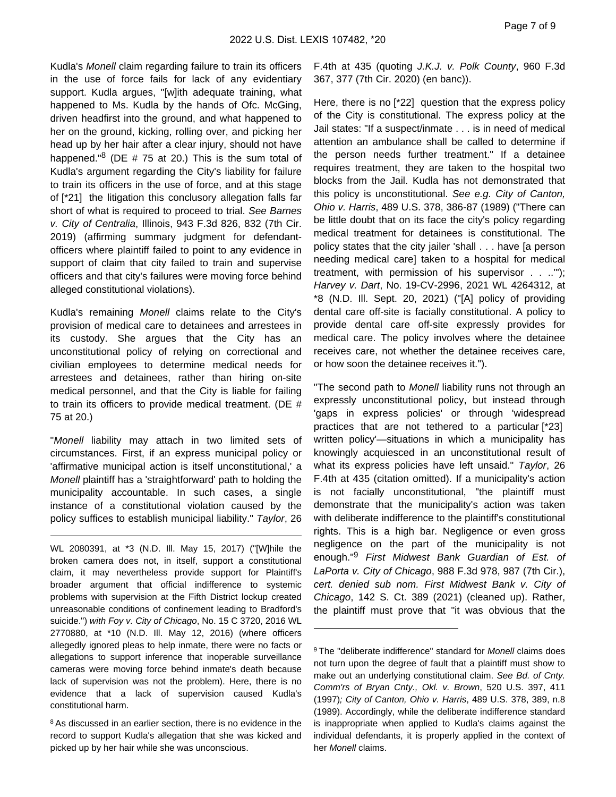Kudla's Monell claim regarding failure to train its officers in the use of force fails for lack of any evidentiary support. Kudla argues, "[w]ith adequate training, what happened to Ms. Kudla by the hands of Ofc. McGing, driven headfirst into the ground, and what happened to her on the ground, kicking, rolling over, and picking her head up by her hair after a clear injury, should not have happened." $8$  (DE # 75 at 20.) This is the sum total of Kudla's argument regarding the City's liability for failure to train its officers in the use of force, and at this stage of [\*21] the litigation this conclusory allegation falls far short of what is required to proceed to trial. See Barnes v. City of Centralia, Illinois, 943 F.3d 826, 832 (7th Cir. 2019) (affirming summary judgment for defendantofficers where plaintiff failed to point to any evidence in support of claim that city failed to train and supervise officers and that city's failures were moving force behind alleged constitutional violations).

Kudla's remaining Monell claims relate to the City's provision of medical care to detainees and arrestees in its custody. She argues that the City has an unconstitutional policy of relying on correctional and civilian employees to determine medical needs for arrestees and detainees, rather than hiring on-site medical personnel, and that the City is liable for failing to train its officers to provide medical treatment. (DE # 75 at 20.)

"Monell liability may attach in two limited sets of circumstances. First, if an express municipal policy or 'affirmative municipal action is itself unconstitutional,' a Monell plaintiff has a 'straightforward' path to holding the municipality accountable. In such cases, a single instance of a constitutional violation caused by the policy suffices to establish municipal liability." Taylor, 26

WL 2080391, at \*3 (N.D. Ill. May 15, 2017) ("[W]hile the broken camera does not, in itself, support a constitutional claim, it may nevertheless provide support for Plaintiff's broader argument that official indifference to systemic problems with supervision at the Fifth District lockup created unreasonable conditions of confinement leading to Bradford's suicide.") with Foy v. City of Chicago, No. 15 C 3720, 2016 WL 2770880, at \*10 (N.D. Ill. May 12, 2016) (where officers allegedly ignored pleas to help inmate, there were no facts or allegations to support inference that inoperable surveillance cameras were moving force behind inmate's death because lack of supervision was not the problem). Here, there is no evidence that a lack of supervision caused Kudla's constitutional harm.

8 As discussed in an earlier section, there is no evidence in the record to support Kudla's allegation that she was kicked and picked up by her hair while she was unconscious.

F.4th at 435 (quoting J.K.J. v. Polk County, 960 F.3d 367, 377 (7th Cir. 2020) (en banc)).

Here, there is no [\*22] question that the express policy of the City is constitutional. The express policy at the Jail states: "If a suspect/inmate . . . is in need of medical attention an ambulance shall be called to determine if the person needs further treatment." If a detainee requires treatment, they are taken to the hospital two blocks from the Jail. Kudla has not demonstrated that this policy is unconstitutional. See e.g. City of Canton, Ohio v. Harris, 489 U.S. 378, 386-87 (1989) ("There can be little doubt that on its face the city's policy regarding medical treatment for detainees is constitutional. The policy states that the city jailer 'shall . . . have [a person needing medical care] taken to a hospital for medical treatment, with permission of his supervisor . . ..'"); Harvey v. Dart, No. 19-CV-2996, 2021 WL 4264312, at \*8 (N.D. Ill. Sept. 20, 2021) ("[A] policy of providing dental care off-site is facially constitutional. A policy to provide dental care off-site expressly provides for medical care. The policy involves where the detainee receives care, not whether the detainee receives care, or how soon the detainee receives it.").

"The second path to Monell liability runs not through an expressly unconstitutional policy, but instead through 'gaps in express policies' or through 'widespread practices that are not tethered to a particular [\*23] written policy'—situations in which a municipality has knowingly acquiesced in an unconstitutional result of what its express policies have left unsaid." Taylor, 26 F.4th at 435 (citation omitted). If a municipality's action is not facially unconstitutional, "the plaintiff must demonstrate that the municipality's action was taken with deliberate indifference to the plaintiff's constitutional rights. This is a high bar. Negligence or even gross negligence on the part of the municipality is not enough."<sup>9</sup> First Midwest Bank Guardian of Est. of LaPorta v. City of Chicago, 988 F.3d 978, 987 (7th Cir.), cert. denied sub nom. First Midwest Bank v. City of Chicago, 142 S. Ct. 389 (2021) (cleaned up). Rather, the plaintiff must prove that "it was obvious that the

<sup>&</sup>lt;sup>9</sup>The "deliberate indifference" standard for *Monell* claims does not turn upon the degree of fault that a plaintiff must show to make out an underlying constitutional claim. See Bd. of Cnty. Comm'rs of Bryan Cnty., Okl. v. Brown, 520 U.S. 397, 411 (1997); City of Canton, Ohio v. Harris, 489 U.S. 378, 389, n.8 (1989). Accordingly, while the deliberate indifference standard is inappropriate when applied to Kudla's claims against the individual defendants, it is properly applied in the context of her Monell claims.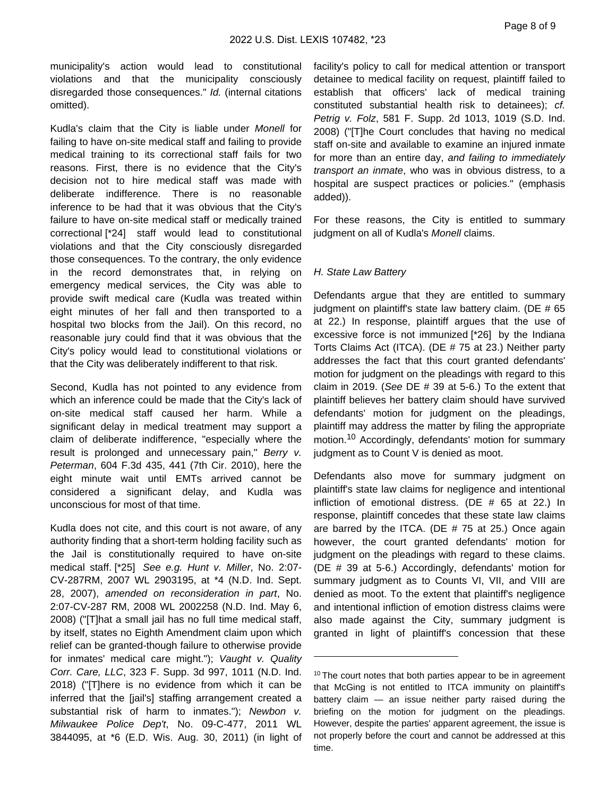municipality's action would lead to constitutional violations and that the municipality consciously disregarded those consequences." Id. (internal citations omitted).

Kudla's claim that the City is liable under Monell for failing to have on-site medical staff and failing to provide medical training to its correctional staff fails for two reasons. First, there is no evidence that the City's decision not to hire medical staff was made with deliberate indifference. There is no reasonable inference to be had that it was obvious that the City's failure to have on-site medical staff or medically trained correctional [\*24] staff would lead to constitutional violations and that the City consciously disregarded those consequences. To the contrary, the only evidence in the record demonstrates that, in relying on emergency medical services, the City was able to provide swift medical care (Kudla was treated within eight minutes of her fall and then transported to a hospital two blocks from the Jail). On this record, no reasonable jury could find that it was obvious that the City's policy would lead to constitutional violations or that the City was deliberately indifferent to that risk.

Second, Kudla has not pointed to any evidence from which an inference could be made that the City's lack of on-site medical staff caused her harm. While a significant delay in medical treatment may support a claim of deliberate indifference, "especially where the result is prolonged and unnecessary pain," Berry v. Peterman, 604 F.3d 435, 441 (7th Cir. 2010), here the eight minute wait until EMTs arrived cannot be considered a significant delay, and Kudla was unconscious for most of that time.

Kudla does not cite, and this court is not aware, of any authority finding that a short-term holding facility such as the Jail is constitutionally required to have on-site medical staff. [\*25] See e.g. Hunt v. Miller, No. 2:07- CV-287RM, 2007 WL 2903195, at \*4 (N.D. Ind. Sept. 28, 2007), amended on reconsideration in part, No. 2:07-CV-287 RM, 2008 WL 2002258 (N.D. Ind. May 6, 2008) ("[T]hat a small jail has no full time medical staff, by itself, states no Eighth Amendment claim upon which relief can be granted-though failure to otherwise provide for inmates' medical care might."); Vaught v. Quality Corr. Care, LLC, 323 F. Supp. 3d 997, 1011 (N.D. Ind. 2018) ("[T]here is no evidence from which it can be inferred that the [jail's] staffing arrangement created a substantial risk of harm to inmates."); Newbon v. Milwaukee Police Dep't, No. 09-C-477, 2011 WL 3844095, at \*6 (E.D. Wis. Aug. 30, 2011) (in light of facility's policy to call for medical attention or transport detainee to medical facility on request, plaintiff failed to establish that officers' lack of medical training constituted substantial health risk to detainees); cf. Petrig v. Folz, 581 F. Supp. 2d 1013, 1019 (S.D. Ind. 2008) ("[T]he Court concludes that having no medical staff on-site and available to examine an injured inmate for more than an entire day, and failing to immediately transport an inmate, who was in obvious distress, to a hospital are suspect practices or policies." (emphasis added)).

For these reasons, the City is entitled to summary judgment on all of Kudla's Monell claims.

#### H. State Law Battery

Defendants argue that they are entitled to summary judgment on plaintiff's state law battery claim. (DE # 65 at 22.) In response, plaintiff argues that the use of excessive force is not immunized [\*26] by the Indiana Torts Claims Act (ITCA). (DE # 75 at 23.) Neither party addresses the fact that this court granted defendants' motion for judgment on the pleadings with regard to this claim in 2019. (See DE  $# 39$  at 5-6.) To the extent that plaintiff believes her battery claim should have survived defendants' motion for judgment on the pleadings, plaintiff may address the matter by filing the appropriate motion.10 Accordingly, defendants' motion for summary judgment as to Count V is denied as moot.

Defendants also move for summary judgment on plaintiff's state law claims for negligence and intentional infliction of emotional distress. (DE # 65 at 22.) In response, plaintiff concedes that these state law claims are barred by the ITCA. (DE  $# 75$  at 25.) Once again however, the court granted defendants' motion for judgment on the pleadings with regard to these claims. (DE # 39 at 5-6.) Accordingly, defendants' motion for summary judgment as to Counts VI, VII, and VIII are denied as moot. To the extent that plaintiff's negligence and intentional infliction of emotion distress claims were also made against the City, summary judgment is granted in light of plaintiff's concession that these

<sup>&</sup>lt;sup>10</sup> The court notes that both parties appear to be in agreement that McGing is not entitled to ITCA immunity on plaintiff's battery claim — an issue neither party raised during the briefing on the motion for judgment on the pleadings. However, despite the parties' apparent agreement, the issue is not properly before the court and cannot be addressed at this time.